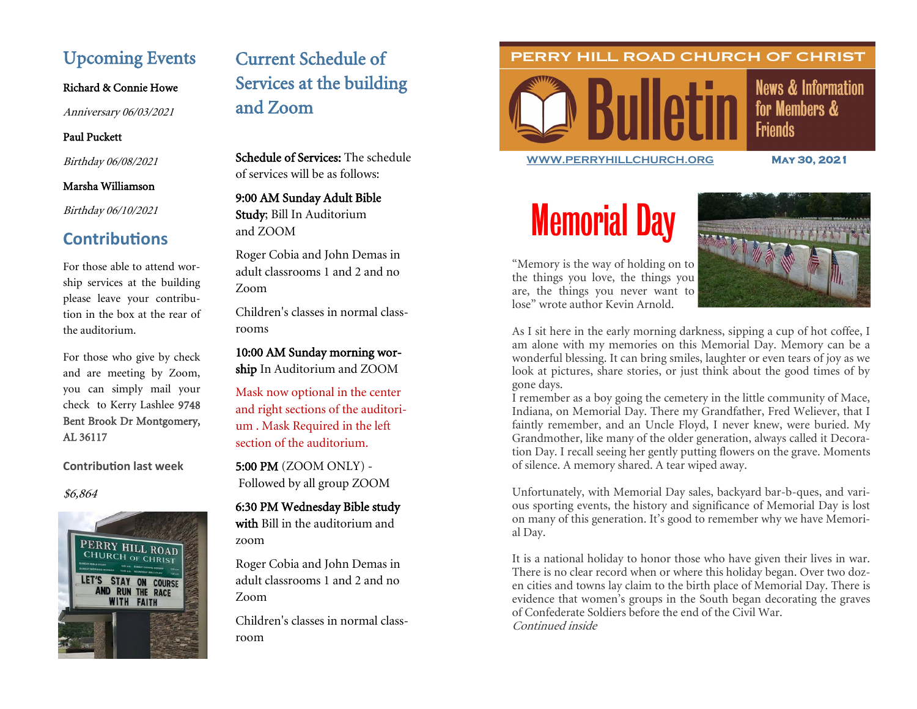# Upcoming Events

Richard & Connie Howe

Anniversary 06/03/2021

## Paul Puckett

Birthday 06/08/2021

## Marsha Williamson

Birthday 06/10/2021

## **Contributions**

For those able to attend worship services at the building please leave your contribution in the box at the rear of the auditorium.

For those who give by check and are meeting by Zoom, you can simply mail your check to Kerry Lashlee 9748 Bent Brook Dr Montgomery, AL 36117

## **Contribution last week**

### \$6,864



# Current Schedule of Services at the building and Zoom

Schedule of Services: The schedule of services will be as follows:

9:00 AM Sunday Adult Bible Study; Bill In Auditorium and ZOOM

Roger Cobia and John Demas in adult classrooms 1 and 2 and no Zoom

Children's classes in normal classrooms

10:00 AM Sunday morning worship In Auditorium and ZOOM

Mask now optional in the center and right sections of the auditorium . Mask Required in the left section of the auditorium.

5:00 PM (ZOOM ONLY) - Followed by all group ZOOM

6:30 PM Wednesday Bible study with Bill in the auditorium and zoom

Roger Cobia and John Demas in adult classrooms 1 and 2 and no Zoom

Children's classes in normal classroom

## PERRY HILL ROAD CHURCH OF CHRIST



**News & Information** for Members & **Friends** 

**[WWW.PERRYHILLCHURCH.ORG](http://www.perryhillchurch.org) May 30, 2021** 

# Memorial Day

"Memory is the way of holding on to the things you love, the things you are, the things you never want to lose" wrote author Kevin Arnold.



As I sit here in the early morning darkness, sipping a cup of hot coffee, I am alone with my memories on this Memorial Day. Memory can be a wonderful blessing. It can bring smiles, laughter or even tears of joy as we look at pictures, share stories, or just think about the good times of by gone days.

I remember as a boy going the cemetery in the little community of Mace, Indiana, on Memorial Day. There my Grandfather, Fred Weliever, that I faintly remember, and an Uncle Floyd, I never knew, were buried. My Grandmother, like many of the older generation, always called it Decoration Day. I recall seeing her gently putting flowers on the grave. Moments of silence. A memory shared. A tear wiped away.

Unfortunately, with Memorial Day sales, backyard bar-b-ques, and various sporting events, the history and significance of Memorial Day is lost on many of this generation. It's good to remember why we have Memorial Day.

It is a national holiday to honor those who have given their lives in war. There is no clear record when or where this holiday began. Over two dozen cities and towns lay claim to the birth place of Memorial Day. There is evidence that women's groups in the South began decorating the graves of Confederate Soldiers before the end of the Civil War. Continued inside